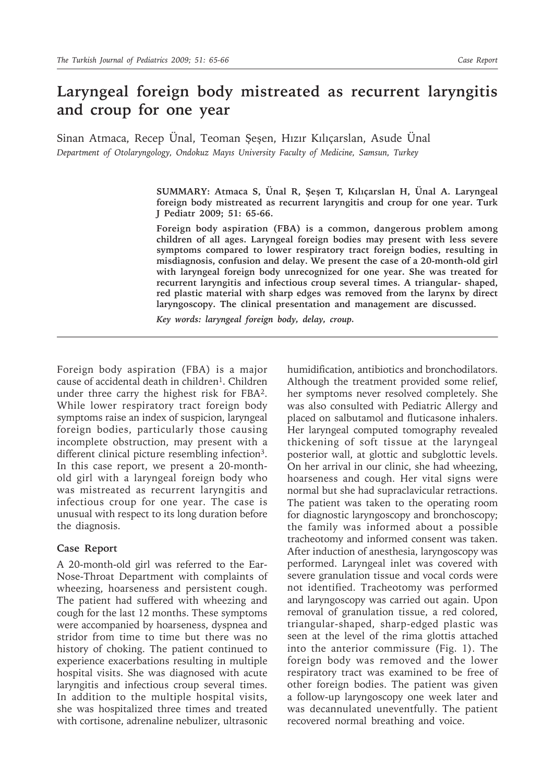## **Laryngeal foreign body mistreated as recurrent laryngitis and croup for one year**

Sinan Atmaca, Recep Ünal, Teoman Şeşen, Hızır Kılıçarslan, Asude Ünal *Department of Otolaryngology, Ondokuz Mayıs University Faculty of Medicine, Samsun, Turkey*

> **SUMMARY: Atmaca S, Ünal R, Şeşen T, Kılıçarslan H, Ünal A. Laryngeal foreign body mistreated as recurrent laryngitis and croup for one year. Turk J Pediatr 2009; 51: 65-66.**

> **Foreign body aspiration (FBA) is a common, dangerous problem among children of all ages. Laryngeal foreign bodies may present with less severe symptoms compared to lower respiratory tract foreign bodies, resulting in misdiagnosis, confusion and delay. We present the case of a 20-month-old girl with laryngeal foreign body unrecognized for one year. She was treated for recurrent laryngitis and infectious croup several times. A triangular- shaped, red plastic material with sharp edges was removed from the larynx by direct laryngoscopy. The clinical presentation and management are discussed.**

*Key words: laryngeal foreign body, delay, croup.*

Foreign body aspiration (FBA) is a major cause of accidental death in children<sup>1</sup>. Children under three carry the highest risk for FBA2. While lower respiratory tract foreign body symptoms raise an index of suspicion, laryngeal foreign bodies, particularly those causing incomplete obstruction, may present with a different clinical picture resembling infection<sup>3</sup>. In this case report, we present a 20-monthold girl with a laryngeal foreign body who was mistreated as recurrent laryngitis and infectious croup for one year. The case is unusual with respect to its long duration before the diagnosis.

## **Case Report**

A 20-month-old girl was referred to the Ear-Nose-Throat Department with complaints of wheezing, hoarseness and persistent cough. The patient had suffered with wheezing and cough for the last 12 months. These symptoms were accompanied by hoarseness, dyspnea and stridor from time to time but there was no history of choking. The patient continued to experience exacerbations resulting in multiple hospital visits. She was diagnosed with acute laryngitis and infectious croup several times. In addition to the multiple hospital visits, she was hospitalized three times and treated with cortisone, adrenaline nebulizer, ultrasonic

humidification, antibiotics and bronchodilators. Although the treatment provided some relief, her symptoms never resolved completely. She was also consulted with Pediatric Allergy and placed on salbutamol and fluticasone inhalers. Her laryngeal computed tomography revealed thickening of soft tissue at the laryngeal posterior wall, at glottic and subglottic levels. On her arrival in our clinic, she had wheezing, hoarseness and cough. Her vital signs were normal but she had supraclavicular retractions. The patient was taken to the operating room for diagnostic laryngoscopy and bronchoscopy; the family was informed about a possible tracheotomy and informed consent was taken. After induction of anesthesia, laryngoscopy was performed. Laryngeal inlet was covered with severe granulation tissue and vocal cords were not identified. Tracheotomy was performed and laryngoscopy was carried out again. Upon removal of granulation tissue, a red colored, triangular-shaped, sharp-edged plastic was seen at the level of the rima glottis attached into the anterior commissure (Fig. 1). The foreign body was removed and the lower respiratory tract was examined to be free of other foreign bodies. The patient was given a follow-up laryngoscopy one week later and was decannulated uneventfully. The patient recovered normal breathing and voice.